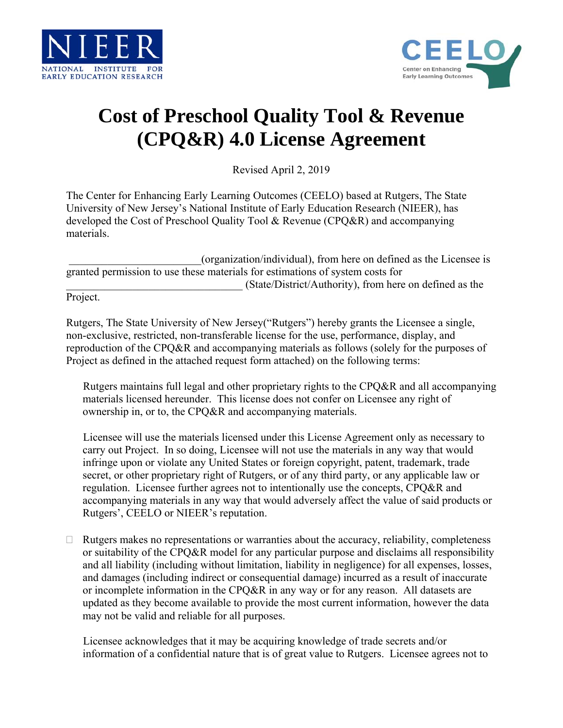



## **Cost of Preschool Quality Tool & Revenue (CPQ&R) 4.0 License Agreement**

Revised April 2, 2019

The Center for Enhancing Early Learning Outcomes (CEELO) based at Rutgers, The State University of New Jersey's National Institute of Early Education Research (NIEER), has developed the Cost of Preschool Quality Tool & Revenue (CPQ&R) and accompanying materials.

| (organization/individual), from here on defined as the Licensee is            |
|-------------------------------------------------------------------------------|
| granted permission to use these materials for estimations of system costs for |
| (State/District/Authority), from here on defined as the                       |

Project.

Rutgers, The State University of New Jersey("Rutgers") hereby grants the Licensee a single, non-exclusive, restricted, non-transferable license for the use, performance, display, and reproduction of the CPQ&R and accompanying materials as follows (solely for the purposes of Project as defined in the attached request form attached) on the following terms:

 Rutgers maintains full legal and other proprietary rights to the CPQ&R and all accompanying materials licensed hereunder. This license does not confer on Licensee any right of ownership in, or to, the CPQ&R and accompanying materials.

 Licensee will use the materials licensed under this License Agreement only as necessary to carry out Project. In so doing, Licensee will not use the materials in any way that would infringe upon or violate any United States or foreign copyright, patent, trademark, trade secret, or other proprietary right of Rutgers, or of any third party, or any applicable law or regulation. Licensee further agrees not to intentionally use the concepts, CPQ&R and accompanying materials in any way that would adversely affect the value of said products or Rutgers', CEELO or NIEER's reputation.

 $\Box$  Rutgers makes no representations or warranties about the accuracy, reliability, completeness or suitability of the CPQ&R model for any particular purpose and disclaims all responsibility and all liability (including without limitation, liability in negligence) for all expenses, losses, and damages (including indirect or consequential damage) incurred as a result of inaccurate or incomplete information in the CPQ&R in any way or for any reason. All datasets are updated as they become available to provide the most current information, however the data may not be valid and reliable for all purposes.

 Licensee acknowledges that it may be acquiring knowledge of trade secrets and/or information of a confidential nature that is of great value to Rutgers. Licensee agrees not to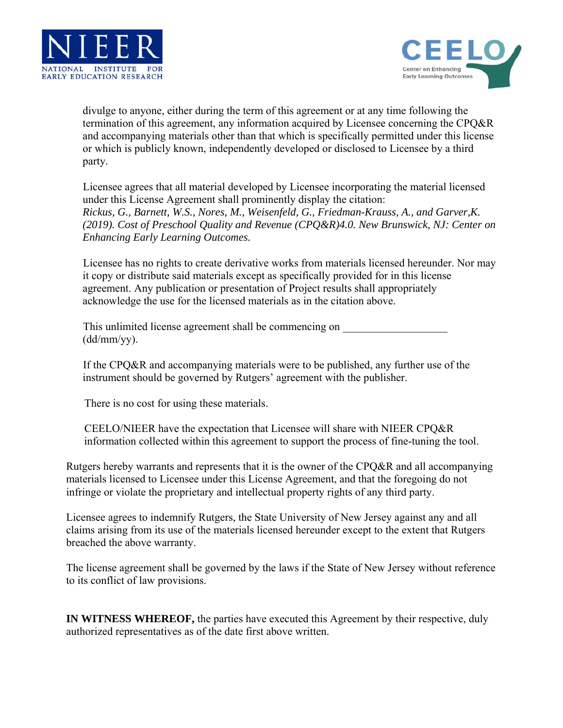



divulge to anyone, either during the term of this agreement or at any time following the termination of this agreement, any information acquired by Licensee concerning the CPQ&R and accompanying materials other than that which is specifically permitted under this license or which is publicly known, independently developed or disclosed to Licensee by a third party.

 Licensee agrees that all material developed by Licensee incorporating the material licensed under this License Agreement shall prominently display the citation: *Rickus, G., Barnett, W.S., Nores, M., Weisenfeld, G., Friedman-Krauss, A., and Garver,K. (2019). Cost of Preschool Quality and Revenue (CPQ&R)4.0. New Brunswick, NJ: Center on Enhancing Early Learning Outcomes.* 

 Licensee has no rights to create derivative works from materials licensed hereunder. Nor may it copy or distribute said materials except as specifically provided for in this license agreement. Any publication or presentation of Project results shall appropriately acknowledge the use for the licensed materials as in the citation above.

This unlimited license agreement shall be commencing on (dd/mm/yy).

 If the CPQ&R and accompanying materials were to be published, any further use of the instrument should be governed by Rutgers' agreement with the publisher.

There is no cost for using these materials.

 CEELO/NIEER have the expectation that Licensee will share with NIEER CPQ&R information collected within this agreement to support the process of fine-tuning the tool.

Rutgers hereby warrants and represents that it is the owner of the CPQ&R and all accompanying materials licensed to Licensee under this License Agreement, and that the foregoing do not infringe or violate the proprietary and intellectual property rights of any third party.

Licensee agrees to indemnify Rutgers, the State University of New Jersey against any and all claims arising from its use of the materials licensed hereunder except to the extent that Rutgers breached the above warranty.

The license agreement shall be governed by the laws if the State of New Jersey without reference to its conflict of law provisions.

**IN WITNESS WHEREOF,** the parties have executed this Agreement by their respective, duly authorized representatives as of the date first above written.